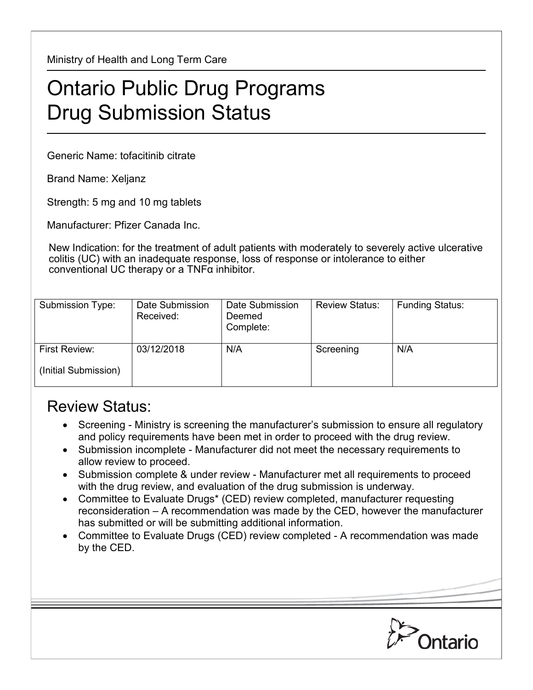Ministry of Health and Long Term Care

## Ontario Public Drug Programs Drug Submission Status

Generic Name: tofacitinib citrate

Brand Name: Xeljanz

Strength: 5 mg and 10 mg tablets

Manufacturer: Pfizer Canada Inc.

New Indication: for the treatment of adult patients with moderately to severely active ulcerative colitis (UC) with an inadequate response, loss of response or intolerance to either conventional UC therapy or a  $TNF\alpha$  inhibitor.

| Submission Type:                      | Date Submission<br>Received: | Date Submission<br>Deemed<br>Complete: | <b>Review Status:</b> | <b>Funding Status:</b> |
|---------------------------------------|------------------------------|----------------------------------------|-----------------------|------------------------|
| First Review:<br>(Initial Submission) | 03/12/2018                   | N/A                                    | Screening             | N/A                    |

## Review Status:

- Screening Ministry is screening the manufacturer's submission to ensure all regulatory and policy requirements have been met in order to proceed with the drug review.
- Submission incomplete Manufacturer did not meet the necessary requirements to allow review to proceed.
- Submission complete & under review Manufacturer met all requirements to proceed with the drug review, and evaluation of the drug submission is underway.
- Committee to Evaluate Drugs\* (CED) review completed, manufacturer requesting reconsideration – A recommendation was made by the CED, however the manufacturer has submitted or will be submitting additional information.
- Committee to Evaluate Drugs (CED) review completed A recommendation was made by the CED.